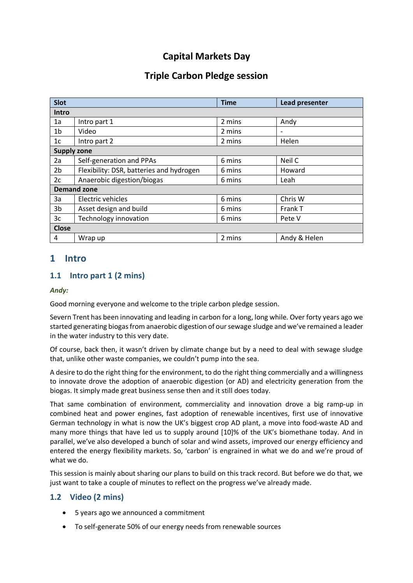# **Capital Markets Day**

## **Triple Carbon Pledge session**

| <b>Slot</b>        |                                          | <b>Time</b> | Lead presenter           |
|--------------------|------------------------------------------|-------------|--------------------------|
| Intro              |                                          |             |                          |
| 1a                 | Intro part 1                             | 2 mins      | Andy                     |
| 1 <sub>b</sub>     | Video                                    | 2 mins      | $\overline{\phantom{a}}$ |
| 1c                 | Intro part 2                             | 2 mins      | Helen                    |
| <b>Supply zone</b> |                                          |             |                          |
| 2a                 | Self-generation and PPAs                 | 6 mins      | Neil C                   |
| 2b                 | Flexibility: DSR, batteries and hydrogen | 6 mins      | Howard                   |
| 2c                 | Anaerobic digestion/biogas               | 6 mins      | Leah                     |
| <b>Demand zone</b> |                                          |             |                          |
| 3a                 | Electric vehicles                        | 6 mins      | Chris W                  |
| 3b                 | Asset design and build                   | 6 mins      | Frank T                  |
| 3c                 | Technology innovation                    | 6 mins      | Pete V                   |
| <b>Close</b>       |                                          |             |                          |
| 4                  | Wrap up                                  | 2 mins      | Andy & Helen             |

## **1 Intro**

## **1.1 Intro part 1 (2 mins)**

#### *Andy:*

Good morning everyone and welcome to the triple carbon pledge session.

Severn Trent has been innovating and leading in carbon for a long, long while. Over forty years ago we started generating biogas from anaerobic digestion of our sewage sludge and we've remained a leader in the water industry to this very date.

Of course, back then, it wasn't driven by climate change but by a need to deal with sewage sludge that, unlike other waste companies, we couldn't pump into the sea.

A desire to do the right thing for the environment, to do the right thing commercially and a willingness to innovate drove the adoption of anaerobic digestion (or AD) and electricity generation from the biogas. It simply made great business sense then and it still does today.

That same combination of environment, commerciality and innovation drove a big ramp-up in combined heat and power engines, fast adoption of renewable incentives, first use of innovative German technology in what is now the UK's biggest crop AD plant, a move into food-waste AD and many more things that have led us to supply around [10]% of the UK's biomethane today. And in parallel, we've also developed a bunch of solar and wind assets, improved our energy efficiency and entered the energy flexibility markets. So, 'carbon' is engrained in what we do and we're proud of what we do.

This session is mainly about sharing our plans to build on this track record. But before we do that, we just want to take a couple of minutes to reflect on the progress we've already made.

## **1.2 Video (2 mins)**

- 5 years ago we announced a commitment
- To self-generate 50% of our energy needs from renewable sources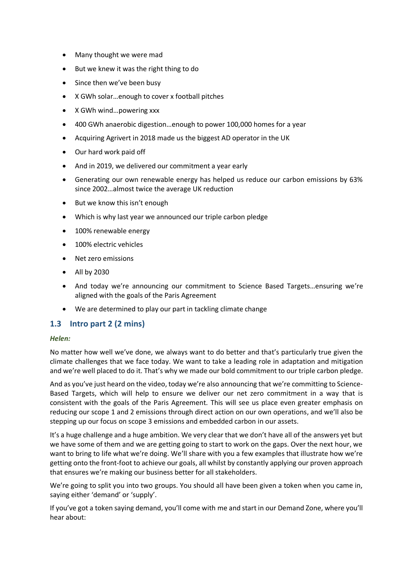- Many thought we were mad
- But we knew it was the right thing to do
- Since then we've been busy
- X GWh solar...enough to cover x football pitches
- X GWh wind…powering xxx
- 400 GWh anaerobic digestion…enough to power 100,000 homes for a year
- Acquiring Agrivert in 2018 made us the biggest AD operator in the UK
- Our hard work paid off
- And in 2019, we delivered our commitment a year early
- Generating our own renewable energy has helped us reduce our carbon emissions by 63% since 2002…almost twice the average UK reduction
- But we know this isn't enough
- Which is why last year we announced our triple carbon pledge
- 100% renewable energy
- 100% electric vehicles
- Net zero emissions
- All by 2030
- And today we're announcing our commitment to Science Based Targets…ensuring we're aligned with the goals of the Paris Agreement
- We are determined to play our part in tackling climate change

#### **1.3 Intro part 2 (2 mins)**

#### *Helen:*

No matter how well we've done, we always want to do better and that's particularly true given the climate challenges that we face today. We want to take a leading role in adaptation and mitigation and we're well placed to do it. That's why we made our bold commitment to our triple carbon pledge.

And as you've just heard on the video, today we're also announcing that we're committing to Science-Based Targets, which will help to ensure we deliver our net zero commitment in a way that is consistent with the goals of the Paris Agreement. This will see us place even greater emphasis on reducing our scope 1 and 2 emissions through direct action on our own operations, and we'll also be stepping up our focus on scope 3 emissions and embedded carbon in our assets.

It's a huge challenge and a huge ambition. We very clear that we don't have all of the answers yet but we have some of them and we are getting going to start to work on the gaps. Over the next hour, we want to bring to life what we're doing. We'll share with you a few examples that illustrate how we're getting onto the front-foot to achieve our goals, all whilst by constantly applying our proven approach that ensures we're making our business better for all stakeholders.

We're going to split you into two groups. You should all have been given a token when you came in, saying either 'demand' or 'supply'.

If you've got a token saying demand, you'll come with me and start in our Demand Zone, where you'll hear about: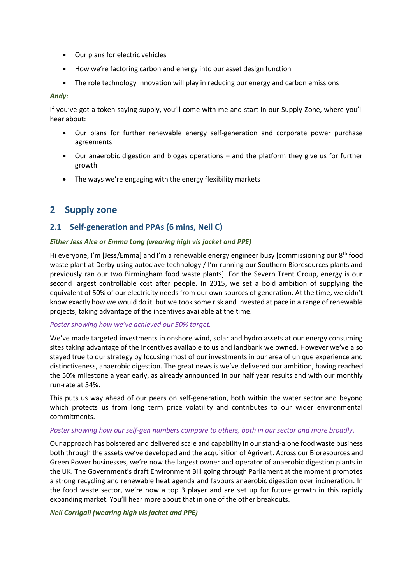- Our plans for electric vehicles
- How we're factoring carbon and energy into our asset design function
- The role technology innovation will play in reducing our energy and carbon emissions

#### *Andy:*

If you've got a token saying supply, you'll come with me and start in our Supply Zone, where you'll hear about:

- Our plans for further renewable energy self-generation and corporate power purchase agreements
- Our anaerobic digestion and biogas operations and the platform they give us for further growth
- The ways we're engaging with the energy flexibility markets

## **2 Supply zone**

### **2.1 Self-generation and PPAs (6 mins, Neil C)**

#### *Either Jess Alce or Emma Long (wearing high vis jacket and PPE)*

Hi everyone, I'm [Jess/Emma] and I'm a renewable energy engineer busy [commissioning our 8<sup>th</sup> food waste plant at Derby using autoclave technology / I'm running our Southern Bioresources plants and previously ran our two Birmingham food waste plants]. For the Severn Trent Group, energy is our second largest controllable cost after people. In 2015, we set a bold ambition of supplying the equivalent of 50% of our electricity needs from our own sources of generation. At the time, we didn't know exactly how we would do it, but we took some risk and invested at pace in a range of renewable projects, taking advantage of the incentives available at the time.

#### *Poster showing how we've achieved our 50% target.*

We've made targeted investments in onshore wind, solar and hydro assets at our energy consuming sites taking advantage of the incentives available to us and landbank we owned. However we've also stayed true to our strategy by focusing most of our investments in our area of unique experience and distinctiveness, anaerobic digestion. The great news is we've delivered our ambition, having reached the 50% milestone a year early, as already announced in our half year results and with our monthly run-rate at 54%.

This puts us way ahead of our peers on self-generation, both within the water sector and beyond which protects us from long term price volatility and contributes to our wider environmental commitments.

#### *Poster showing how our self-gen numbers compare to others, both in our sector and more broadly.*

Our approach has bolstered and delivered scale and capability in our stand-alone food waste business both through the assets we've developed and the acquisition of Agrivert. Across our Bioresources and Green Power businesses, we're now the largest owner and operator of anaerobic digestion plants in the UK. The Government's draft Environment Bill going through Parliament at the moment promotes a strong recycling and renewable heat agenda and favours anaerobic digestion over incineration. In the food waste sector, we're now a top 3 player and are set up for future growth in this rapidly expanding market. You'll hear more about that in one of the other breakouts.

#### *Neil Corrigall (wearing high vis jacket and PPE)*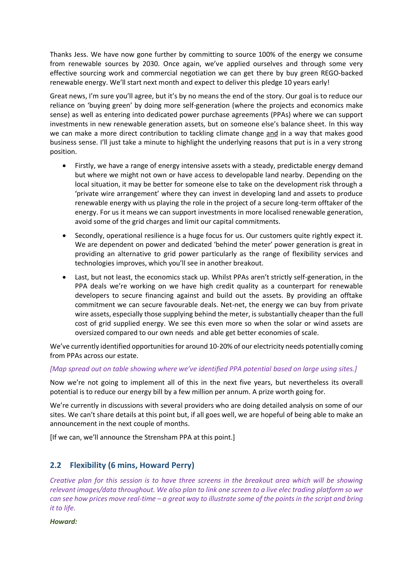Thanks Jess. We have now gone further by committing to source 100% of the energy we consume from renewable sources by 2030. Once again, we've applied ourselves and through some very effective sourcing work and commercial negotiation we can get there by buy green REGO-backed renewable energy. We'll start next month and expect to deliver this pledge 10 years early!

Great news, I'm sure you'll agree, but it's by no means the end of the story. Our goal is to reduce our reliance on 'buying green' by doing more self-generation (where the projects and economics make sense) as well as entering into dedicated power purchase agreements (PPAs) where we can support investments in new renewable generation assets, but on someone else's balance sheet. In this way we can make a more direct contribution to tackling climate change and in a way that makes good business sense. I'll just take a minute to highlight the underlying reasons that put is in a very strong position.

- Firstly, we have a range of energy intensive assets with a steady, predictable energy demand but where we might not own or have access to developable land nearby. Depending on the local situation, it may be better for someone else to take on the development risk through a 'private wire arrangement' where they can invest in developing land and assets to produce renewable energy with us playing the role in the project of a secure long-term offtaker of the energy. For us it means we can support investments in more localised renewable generation, avoid some of the grid charges and limit our capital commitments.
- Secondly, operational resilience is a huge focus for us. Our customers quite rightly expect it. We are dependent on power and dedicated 'behind the meter' power generation is great in providing an alternative to grid power particularly as the range of flexibility services and technologies improves, which you'll see in another breakout.
- Last, but not least, the economics stack up. Whilst PPAs aren't strictly self-generation, in the PPA deals we're working on we have high credit quality as a counterpart for renewable developers to secure financing against and build out the assets. By providing an offtake commitment we can secure favourable deals. Net-net, the energy we can buy from private wire assets, especially those supplying behind the meter, is substantially cheaper than the full cost of grid supplied energy. We see this even more so when the solar or wind assets are oversized compared to our own needs and able get better economies of scale.

We've currently identified opportunities for around 10-20% of our electricity needs potentially coming from PPAs across our estate.

#### *[Map spread out on table showing where we've identified PPA potential based on large using sites.]*

Now we're not going to implement all of this in the next five years, but nevertheless its overall potential is to reduce our energy bill by a few million per annum. A prize worth going for.

We're currently in discussions with several providers who are doing detailed analysis on some of our sites. We can't share details at this point but, if all goes well, we are hopeful of being able to make an announcement in the next couple of months.

[If we can, we'll announce the Strensham PPA at this point.]

### **2.2 Flexibility (6 mins, Howard Perry)**

*Creative plan for this session is to have three screens in the breakout area which will be showing relevant images/data throughout. We also plan to link one screen to a live elec trading platform so we can see how prices move real-time – a great way to illustrate some of the points in the script and bring it to life.*

*Howard:*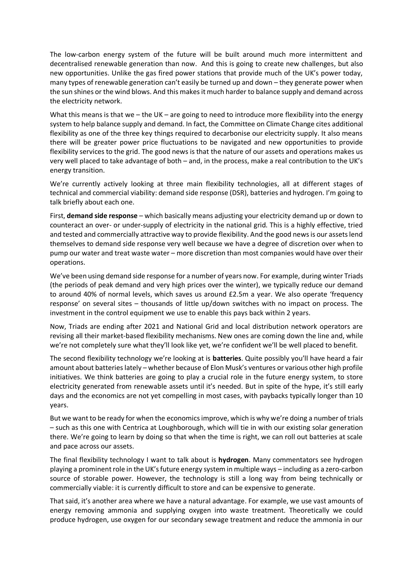The low-carbon energy system of the future will be built around much more intermittent and decentralised renewable generation than now. And this is going to create new challenges, but also new opportunities. Unlike the gas fired power stations that provide much of the UK's power today, many types of renewable generation can't easily be turned up and down – they generate power when the sun shines or the wind blows. And this makes it much harder to balance supply and demand across the electricity network.

What this means is that we – the UK – are going to need to introduce more flexibility into the energy system to help balance supply and demand. In fact, the Committee on Climate Change cites additional flexibility as one of the three key things required to decarbonise our electricity supply. It also means there will be greater power price fluctuations to be navigated and new opportunities to provide flexibility services to the grid. The good news is that the nature of our assets and operations makes us very well placed to take advantage of both – and, in the process, make a real contribution to the UK's energy transition.

We're currently actively looking at three main flexibility technologies, all at different stages of technical and commercial viability: demand side response (DSR), batteries and hydrogen. I'm going to talk briefly about each one.

First, **demand side response** – which basically means adjusting your electricity demand up or down to counteract an over- or under-supply of electricity in the national grid. This is a highly effective, tried and tested and commercially attractive way to provide flexibility. And the good news is our assets lend themselves to demand side response very well because we have a degree of discretion over when to pump our water and treat waste water – more discretion than most companies would have over their operations.

We've been using demand side response for a number of years now. For example, during winter Triads (the periods of peak demand and very high prices over the winter), we typically reduce our demand to around 40% of normal levels, which saves us around £2.5m a year. We also operate 'frequency response' on several sites – thousands of little up/down switches with no impact on process. The investment in the control equipment we use to enable this pays back within 2 years.

Now, Triads are ending after 2021 and National Grid and local distribution network operators are revising all their market-based flexibility mechanisms. New ones are coming down the line and, while we're not completely sure what they'll look like yet, we're confident we'll be well placed to benefit.

The second flexibility technology we're looking at is **batteries**. Quite possibly you'll have heard a fair amount about batteries lately – whether because of Elon Musk's ventures or various other high profile initiatives. We think batteries are going to play a crucial role in the future energy system, to store electricity generated from renewable assets until it's needed. But in spite of the hype, it's still early days and the economics are not yet compelling in most cases, with paybacks typically longer than 10 years.

But we want to be ready for when the economics improve, which is why we're doing a number of trials – such as this one with Centrica at Loughborough, which will tie in with our existing solar generation there. We're going to learn by doing so that when the time is right, we can roll out batteries at scale and pace across our assets.

The final flexibility technology I want to talk about is **hydrogen**. Many commentators see hydrogen playing a prominent role in the UK's future energy system in multiple ways – including as a zero-carbon source of storable power. However, the technology is still a long way from being technically or commercially viable: it is currently difficult to store and can be expensive to generate.

That said, it's another area where we have a natural advantage. For example, we use vast amounts of energy removing ammonia and supplying oxygen into waste treatment. Theoretically we could produce hydrogen, use oxygen for our secondary sewage treatment and reduce the ammonia in our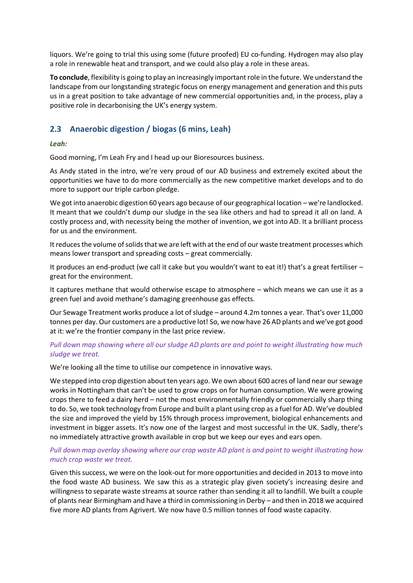liquors. We're going to trial this using some (future proofed) EU co-funding. Hydrogen may also play a role in renewable heat and transport, and we could also play a role in these areas.

**To conclude**, flexibility is going to play an increasingly important role in the future. We understand the landscape from our longstanding strategic focus on energy management and generation and this puts us in a great position to take advantage of new commercial opportunities and, in the process, play a positive role in decarbonising the UK's energy system.

### **2.3 Anaerobic digestion / biogas (6 mins, Leah)**

#### *Leah:*

Good morning, I'm Leah Fry and I head up our Bioresources business.

As Andy stated in the intro, we're very proud of our AD business and extremely excited about the opportunities we have to do more commercially as the new competitive market develops and to do more to support our triple carbon pledge.

We got into anaerobic digestion 60 years ago because of our geographical location – we're landlocked. It meant that we couldn't dump our sludge in the sea like others and had to spread it all on land. A costly process and, with necessity being the mother of invention, we got into AD. It a brilliant process for us and the environment.

It reduces the volume of solids that we are left with at the end of our waste treatment processes which means lower transport and spreading costs – great commercially.

It produces an end-product (we call it cake but you wouldn't want to eat it!) that's a great fertiliser – great for the environment.

It captures methane that would otherwise escape to atmosphere – which means we can use it as a green fuel and avoid methane's damaging greenhouse gas effects.

Our Sewage Treatment works produce a lot of sludge – around 4.2m tonnes a year. That's over 11,000 tonnes per day. Our customers are a productive lot! So, we now have 26 AD plants and we've got good at it: we're the frontier company in the last price review.

#### *Pull down map showing where all our sludge AD plants are and point to weight illustrating how much sludge we treat.*

We're looking all the time to utilise our competence in innovative ways.

We stepped into crop digestion about ten years ago. We own about 600 acres of land near our sewage works in Nottingham that can't be used to grow crops on for human consumption. We were growing crops there to feed a dairy herd – not the most environmentally friendly or commercially sharp thing to do. So, we took technology from Europe and built a plant using crop as a fuel for AD. We've doubled the size and improved the yield by 15% through process improvement, biological enhancements and investment in bigger assets. It's now one of the largest and most successful in the UK. Sadly, there's no immediately attractive growth available in crop but we keep our eyes and ears open.

#### *Pull down map overlay showing where our crop waste AD plant is and point to weight illustrating how much crop waste we treat.*

Given this success, we were on the look-out for more opportunities and decided in 2013 to move into the food waste AD business. We saw this as a strategic play given society's increasing desire and willingness to separate waste streams at source rather than sending it all to landfill. We built a couple of plants near Birmingham and have a third in commissioning in Derby – and then in 2018 we acquired five more AD plants from Agrivert. We now have 0.5 million tonnes of food waste capacity.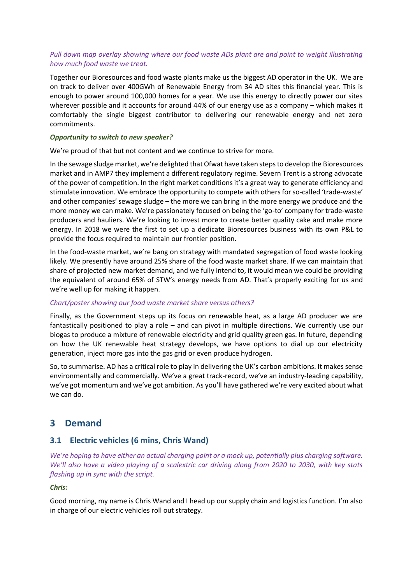#### *Pull down map overlay showing where our food waste ADs plant are and point to weight illustrating how much food waste we treat.*

Together our Bioresources and food waste plants make us the biggest AD operator in the UK. We are on track to deliver over 400GWh of Renewable Energy from 34 AD sites this financial year. This is enough to power around 100,000 homes for a year. We use this energy to directly power our sites wherever possible and it accounts for around 44% of our energy use as a company – which makes it comfortably the single biggest contributor to delivering our renewable energy and net zero commitments.

#### *Opportunity to switch to new speaker?*

We're proud of that but not content and we continue to strive for more.

In the sewage sludge market, we're delighted that Ofwat have taken steps to develop the Bioresources market and in AMP7 they implement a different regulatory regime. Severn Trent is a strong advocate of the power of competition. In the right market conditions it's a great way to generate efficiency and stimulate innovation. We embrace the opportunity to compete with others for so-called 'trade-waste' and other companies' sewage sludge – the more we can bring in the more energy we produce and the more money we can make. We're passionately focused on being the 'go-to' company for trade-waste producers and hauliers. We're looking to invest more to create better quality cake and make more energy. In 2018 we were the first to set up a dedicate Bioresources business with its own P&L to provide the focus required to maintain our frontier position.

In the food-waste market, we're bang on strategy with mandated segregation of food waste looking likely. We presently have around 25% share of the food waste market share. If we can maintain that share of projected new market demand, and we fully intend to, it would mean we could be providing the equivalent of around 65% of STW's energy needs from AD. That's properly exciting for us and we're well up for making it happen.

#### *Chart/poster showing our food waste market share versus others?*

Finally, as the Government steps up its focus on renewable heat, as a large AD producer we are fantastically positioned to play a role – and can pivot in multiple directions. We currently use our biogas to produce a mixture of renewable electricity and grid quality green gas. In future, depending on how the UK renewable heat strategy develops, we have options to dial up our electricity generation, inject more gas into the gas grid or even produce hydrogen.

So, to summarise. AD has a critical role to play in delivering the UK's carbon ambitions. It makes sense environmentally and commercially. We've a great track-record, we've an industry-leading capability, we've got momentum and we've got ambition. As you'll have gathered we're very excited about what we can do.

## **3 Demand**

#### **3.1 Electric vehicles (6 mins, Chris Wand)**

*We're hoping to have either an actual charging point or a mock up, potentially plus charging software. We'll also have a video playing of a scalextric car driving along from 2020 to 2030, with key stats flashing up in sync with the script.* 

#### *Chris:*

Good morning, my name is Chris Wand and I head up our supply chain and logistics function. I'm also in charge of our electric vehicles roll out strategy.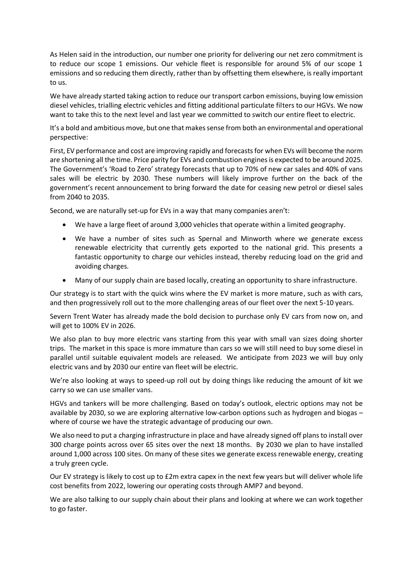As Helen said in the introduction, our number one priority for delivering our net zero commitment is to reduce our scope 1 emissions. Our vehicle fleet is responsible for around 5% of our scope 1 emissions and so reducing them directly, rather than by offsetting them elsewhere, is really important to us.

We have already started taking action to reduce our transport carbon emissions, buying low emission diesel vehicles, trialling electric vehicles and fitting additional particulate filters to our HGVs. We now want to take this to the next level and last year we committed to switch our entire fleet to electric.

It's a bold and ambitious move, but one that makes sense from both an environmental and operational perspective:

First, EV performance and cost are improving rapidly and forecasts for when EVs will become the norm are shortening all the time. Price parity for EVs and combustion engines is expected to be around 2025. The Government's 'Road to Zero' strategy forecasts that up to 70% of new car sales and 40% of vans sales will be electric by 2030. These numbers will likely improve further on the back of the government's recent announcement to bring forward the date for ceasing new petrol or diesel sales from 2040 to 2035.

Second, we are naturally set-up for EVs in a way that many companies aren't:

- We have a large fleet of around 3,000 vehicles that operate within a limited geography.
- We have a number of sites such as Spernal and Minworth where we generate excess renewable electricity that currently gets exported to the national grid. This presents a fantastic opportunity to charge our vehicles instead, thereby reducing load on the grid and avoiding charges.
- Many of our supply chain are based locally, creating an opportunity to share infrastructure.

Our strategy is to start with the quick wins where the EV market is more mature, such as with cars, and then progressively roll out to the more challenging areas of our fleet over the next 5-10 years.

Severn Trent Water has already made the bold decision to purchase only EV cars from now on, and will get to 100% EV in 2026.

We also plan to buy more electric vans starting from this year with small van sizes doing shorter trips. The market in this space is more immature than cars so we will still need to buy some diesel in parallel until suitable equivalent models are released. We anticipate from 2023 we will buy only electric vans and by 2030 our entire van fleet will be electric.

We're also looking at ways to speed-up roll out by doing things like reducing the amount of kit we carry so we can use smaller vans.

HGVs and tankers will be more challenging. Based on today's outlook, electric options may not be available by 2030, so we are exploring alternative low-carbon options such as hydrogen and biogas – where of course we have the strategic advantage of producing our own.

We also need to put a charging infrastructure in place and have already signed off plans to install over 300 charge points across over 65 sites over the next 18 months. By 2030 we plan to have installed around 1,000 across 100 sites. On many of these sites we generate excess renewable energy, creating a truly green cycle.

Our EV strategy is likely to cost up to £2m extra capex in the next few years but will deliver whole life cost benefits from 2022, lowering our operating costs through AMP7 and beyond.

We are also talking to our supply chain about their plans and looking at where we can work together to go faster.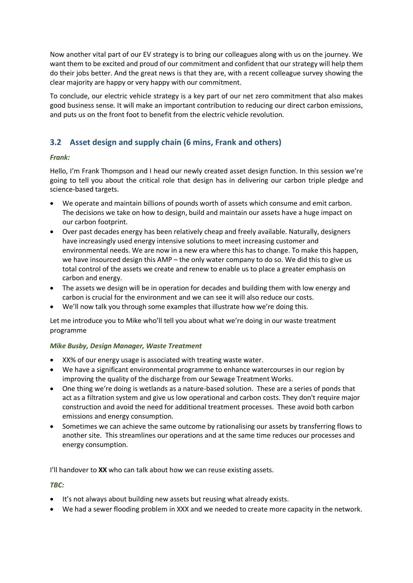Now another vital part of our EV strategy is to bring our colleagues along with us on the journey. We want them to be excited and proud of our commitment and confident that our strategy will help them do their jobs better. And the great news is that they are, with a recent colleague survey showing the clear majority are happy or very happy with our commitment.

To conclude, our electric vehicle strategy is a key part of our net zero commitment that also makes good business sense. It will make an important contribution to reducing our direct carbon emissions, and puts us on the front foot to benefit from the electric vehicle revolution.

### **3.2 Asset design and supply chain (6 mins, Frank and others)**

#### *Frank:*

Hello, I'm Frank Thompson and I head our newly created asset design function. In this session we're going to tell you about the critical role that design has in delivering our carbon triple pledge and science-based targets.

- We operate and maintain billions of pounds worth of assets which consume and emit carbon. The decisions we take on how to design, build and maintain our assets have a huge impact on our carbon footprint.
- Over past decades energy has been relatively cheap and freely available. Naturally, designers have increasingly used energy intensive solutions to meet increasing customer and environmental needs. We are now in a new era where this has to change. To make this happen, we have insourced design this AMP – the only water company to do so. We did this to give us total control of the assets we create and renew to enable us to place a greater emphasis on carbon and energy.
- The assets we design will be in operation for decades and building them with low energy and carbon is crucial for the environment and we can see it will also reduce our costs.
- We'll now talk you through some examples that illustrate how we're doing this.

Let me introduce you to Mike who'll tell you about what we're doing in our waste treatment programme

#### *Mike Busby, Design Manager, Waste Treatment*

- XX% of our energy usage is associated with treating waste water.
- We have a significant environmental programme to enhance watercourses in our region by improving the quality of the discharge from our Sewage Treatment Works.
- One thing we're doing is wetlands as a nature-based solution. These are a series of ponds that act as a filtration system and give us low operational and carbon costs. They don't require major construction and avoid the need for additional treatment processes. These avoid both carbon emissions and energy consumption.
- Sometimes we can achieve the same outcome by rationalising our assets by transferring flows to another site. This streamlines our operations and at the same time reduces our processes and energy consumption.

I'll handover to **XX** who can talk about how we can reuse existing assets.

#### *TBC:*

- It's not always about building new assets but reusing what already exists.
- We had a sewer flooding problem in XXX and we needed to create more capacity in the network.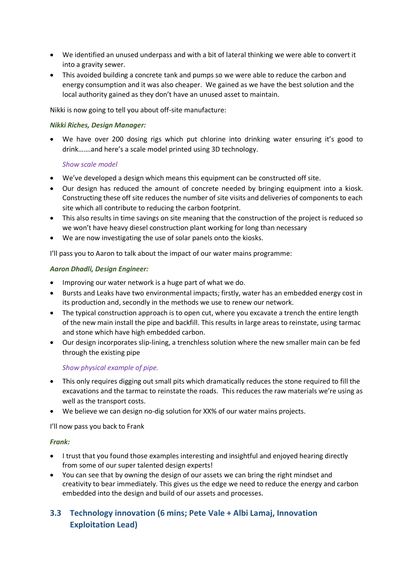- We identified an unused underpass and with a bit of lateral thinking we were able to convert it into a gravity sewer.
- This avoided building a concrete tank and pumps so we were able to reduce the carbon and energy consumption and it was also cheaper. We gained as we have the best solution and the local authority gained as they don't have an unused asset to maintain.

Nikki is now going to tell you about off-site manufacture:

#### *Nikki Riches, Design Manager:*

 We have over 200 dosing rigs which put chlorine into drinking water ensuring it's good to drink…….and here's a scale model printed using 3D technology.

#### *Show scale model*

- We've developed a design which means this equipment can be constructed off site.
- Our design has reduced the amount of concrete needed by bringing equipment into a kiosk. Constructing these off site reduces the number of site visits and deliveries of components to each site which all contribute to reducing the carbon footprint.
- This also results in time savings on site meaning that the construction of the project is reduced so we won't have heavy diesel construction plant working for long than necessary
- We are now investigating the use of solar panels onto the kiosks.

I'll pass you to Aaron to talk about the impact of our water mains programme:

#### *Aaron Dhadli, Design Engineer:*

- Improving our water network is a huge part of what we do.
- Bursts and Leaks have two environmental impacts; firstly, water has an embedded energy cost in its production and, secondly in the methods we use to renew our network.
- The typical construction approach is to open cut, where you excavate a trench the entire length of the new main install the pipe and backfill. This results in large areas to reinstate, using tarmac and stone which have high embedded carbon.
- Our design incorporates slip-lining, a trenchless solution where the new smaller main can be fed through the existing pipe

#### *Show physical example of pipe.*

- This only requires digging out small pits which dramatically reduces the stone required to fill the excavations and the tarmac to reinstate the roads. This reduces the raw materials we're using as well as the transport costs.
- We believe we can design no-dig solution for XX% of our water mains projects.

I'll now pass you back to Frank

#### *Frank:*

- I trust that you found those examples interesting and insightful and enjoyed hearing directly from some of our super talented design experts!
- You can see that by owning the design of our assets we can bring the right mindset and creativity to bear immediately. This gives us the edge we need to reduce the energy and carbon embedded into the design and build of our assets and processes.

## **3.3 Technology innovation (6 mins; Pete Vale + Albi Lamaj, Innovation Exploitation Lead)**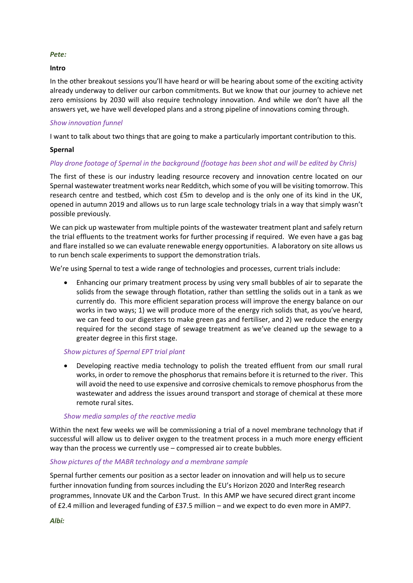#### *Pete:*

#### **Intro**

In the other breakout sessions you'll have heard or will be hearing about some of the exciting activity already underway to deliver our carbon commitments. But we know that our journey to achieve net zero emissions by 2030 will also require technology innovation. And while we don't have all the answers yet, we have well developed plans and a strong pipeline of innovations coming through.

#### *Show innovation funnel*

I want to talk about two things that are going to make a particularly important contribution to this.

#### **Spernal**

#### *Play drone footage of Spernal in the background (footage has been shot and will be edited by Chris)*

The first of these is our industry leading resource recovery and innovation centre located on our Spernal wastewater treatment works near Redditch, which some of you will be visiting tomorrow. This research centre and testbed, which cost £5m to develop and is the only one of its kind in the UK, opened in autumn 2019 and allows us to run large scale technology trials in a way that simply wasn't possible previously.

We can pick up wastewater from multiple points of the wastewater treatment plant and safely return the trial effluents to the treatment works for further processing if required. We even have a gas bag and flare installed so we can evaluate renewable energy opportunities. A laboratory on site allows us to run bench scale experiments to support the demonstration trials.

We're using Spernal to test a wide range of technologies and processes, current trials include:

 Enhancing our primary treatment process by using very small bubbles of air to separate the solids from the sewage through flotation, rather than settling the solids out in a tank as we currently do. This more efficient separation process will improve the energy balance on our works in two ways; 1) we will produce more of the energy rich solids that, as you've heard, we can feed to our digesters to make green gas and fertiliser, and 2) we reduce the energy required for the second stage of sewage treatment as we've cleaned up the sewage to a greater degree in this first stage.

#### *Show pictures of Spernal EPT trial plant*

 Developing reactive media technology to polish the treated effluent from our small rural works, in order to remove the phosphorus that remains before it is returned to the river. This will avoid the need to use expensive and corrosive chemicals to remove phosphorus from the wastewater and address the issues around transport and storage of chemical at these more remote rural sites.

#### *Show media samples of the reactive media*

Within the next few weeks we will be commissioning a trial of a novel membrane technology that if successful will allow us to deliver oxygen to the treatment process in a much more energy efficient way than the process we currently use – compressed air to create bubbles.

#### *Show pictures of the MABR technology and a membrane sample*

Spernal further cements our position as a sector leader on innovation and will help us to secure further innovation funding from sources including the EU's Horizon 2020 and InterReg research programmes, Innovate UK and the Carbon Trust. In this AMP we have secured direct grant income of £2.4 million and leveraged funding of £37.5 million – and we expect to do even more in AMP7.

*Albi:*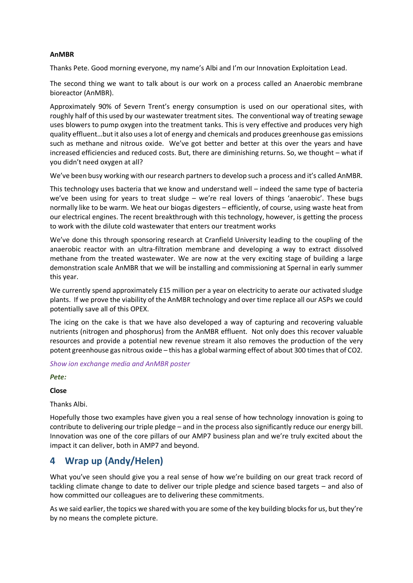#### **AnMBR**

Thanks Pete. Good morning everyone, my name's Albi and I'm our Innovation Exploitation Lead.

The second thing we want to talk about is our work on a process called an Anaerobic membrane bioreactor (AnMBR).

Approximately 90% of Severn Trent's energy consumption is used on our operational sites, with roughly half of this used by our wastewater treatment sites. The conventional way of treating sewage uses blowers to pump oxygen into the treatment tanks. This is very effective and produces very high quality effluent…but it also uses a lot of energy and chemicals and produces greenhouse gas emissions such as methane and nitrous oxide. We've got better and better at this over the years and have increased efficiencies and reduced costs. But, there are diminishing returns. So, we thought – what if you didn't need oxygen at all?

We've been busy working with our research partners to develop such a process and it's called AnMBR.

This technology uses bacteria that we know and understand well – indeed the same type of bacteria we've been using for years to treat sludge – we're real lovers of things 'anaerobic'. These bugs normally like to be warm. We heat our biogas digesters – efficiently, of course, using waste heat from our electrical engines. The recent breakthrough with this technology, however, is getting the process to work with the dilute cold wastewater that enters our treatment works

We've done this through sponsoring research at Cranfield University leading to the coupling of the anaerobic reactor with an ultra-filtration membrane and developing a way to extract dissolved methane from the treated wastewater. We are now at the very exciting stage of building a large demonstration scale AnMBR that we will be installing and commissioning at Spernal in early summer this year.

We currently spend approximately £15 million per a year on electricity to aerate our activated sludge plants. If we prove the viability of the AnMBR technology and over time replace all our ASPs we could potentially save all of this OPEX.

The icing on the cake is that we have also developed a way of capturing and recovering valuable nutrients (nitrogen and phosphorus) from the AnMBR effluent. Not only does this recover valuable resources and provide a potential new revenue stream it also removes the production of the very potent greenhouse gas nitrous oxide – this has a global warming effect of about 300 times that of CO2.

*Show ion exchange media and AnMBR poster*

*Pete:*

#### **Close**

Thanks Albi.

Hopefully those two examples have given you a real sense of how technology innovation is going to contribute to delivering our triple pledge – and in the process also significantly reduce our energy bill. Innovation was one of the core pillars of our AMP7 business plan and we're truly excited about the impact it can deliver, both in AMP7 and beyond.

# **4 Wrap up (Andy/Helen)**

What you've seen should give you a real sense of how we're building on our great track record of tackling climate change to date to deliver our triple pledge and science based targets – and also of how committed our colleagues are to delivering these commitments.

As we said earlier, the topics we shared with you are some of the key building blocks for us, but they're by no means the complete picture.